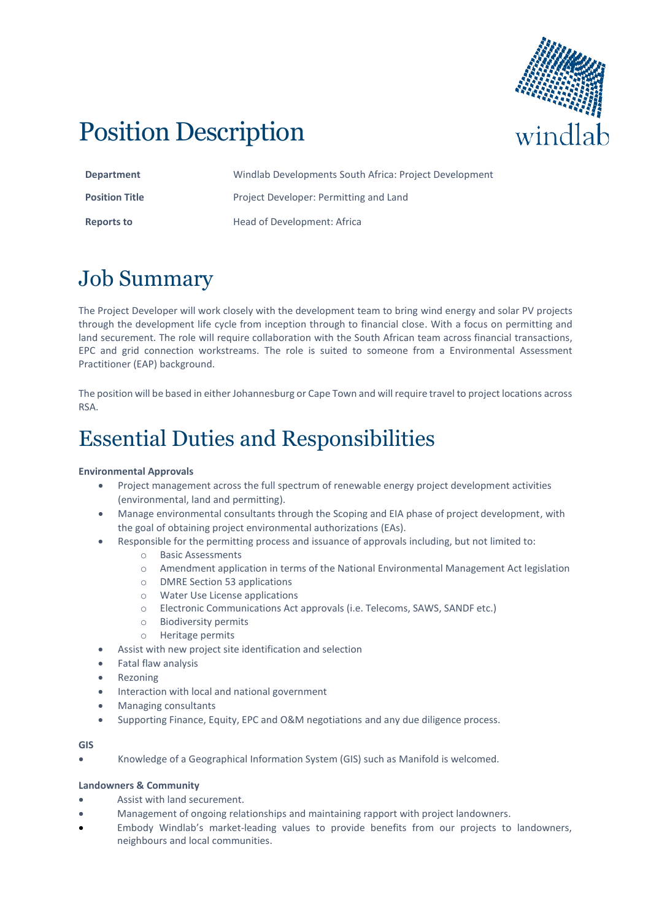

# Position Description

| <b>Department</b>     | Windlab Developments South Africa: Project Development |
|-----------------------|--------------------------------------------------------|
| <b>Position Title</b> | Project Developer: Permitting and Land                 |
| Reports to            | Head of Development: Africa                            |

# Job Summary

The Project Developer will work closely with the development team to bring wind energy and solar PV projects through the development life cycle from inception through to financial close. With a focus on permitting and land securement. The role will require collaboration with the South African team across financial transactions, EPC and grid connection workstreams. The role is suited to someone from a Environmental Assessment Practitioner (EAP) background.

The position will be based in either Johannesburg or Cape Town and will require travel to project locations across RSA.

# Essential Duties and Responsibilities

### **Environmental Approvals**

- Project management across the full spectrum of renewable energy project development activities (environmental, land and permitting).
- Manage environmental consultants through the Scoping and EIA phase of project development, with the goal of obtaining project environmental authorizations (EAs).
- Responsible for the permitting process and issuance of approvals including, but not limited to:
	- o Basic Assessments
	- o Amendment application in terms of the National Environmental Management Act legislation
	- o DMRE Section 53 applications
	- o Water Use License applications
	- o Electronic Communications Act approvals (i.e. Telecoms, SAWS, SANDF etc.)
	- o Biodiversity permits
	- o Heritage permits
- Assist with new project site identification and selection
- Fatal flaw analysis
- **Rezoning**
- Interaction with local and national government
- Managing consultants
- Supporting Finance, Equity, EPC and O&M negotiations and any due diligence process.

#### **GIS**

• Knowledge of a Geographical Information System (GIS) such as Manifold is welcomed.

#### **Landowners & Community**

- Assist with land securement.
- Management of ongoing relationships and maintaining rapport with project landowners.
- Embody Windlab's market-leading values to provide benefits from our projects to landowners, neighbours and local communities.